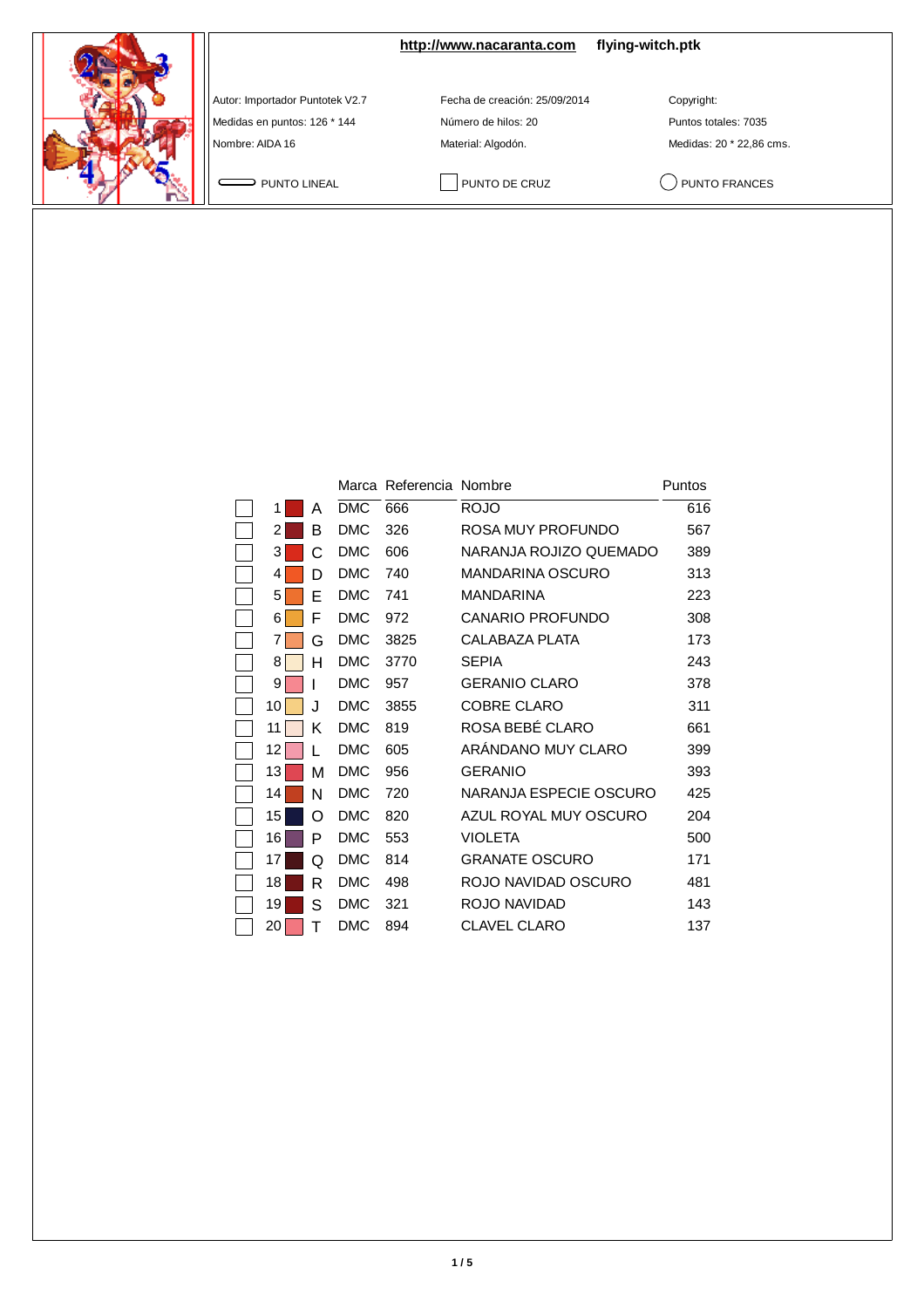**<http://www.nacaranta.com> flying-witch.ptk**

Autor: Importador Puntotek V2.7 Fecha de creación: 25/09/2014 Copyright:

Medidas en puntos: 126 \* 144 Número de hilos: 20 Puntos totales: 7035 Nombre: AIDA 16 Material: Algodón. Material: Algodón. Medidas: 20 \* 22,86 cms.

PUNTO LINEAL PUNTO DE CRUZ QUINTO FRANCES

|    |   |            | Marca Referencia Nombre |                         | Puntos |
|----|---|------------|-------------------------|-------------------------|--------|
| 1  | А | <b>DMC</b> | 666                     | <b>ROJO</b>             | 616    |
| 2  | в | <b>DMC</b> | 326                     | ROSA MUY PROFUNDO       | 567    |
| 3  | C | <b>DMC</b> | 606                     | NARANJA ROJIZO QUEMADO  | 389    |
| 4  | D | <b>DMC</b> | 740                     | <b>MANDARINA OSCURO</b> | 313    |
| 5  | Е | <b>DMC</b> | 741                     | <b>MANDARINA</b>        | 223    |
| 6  | F | <b>DMC</b> | 972                     | <b>CANARIO PROFUNDO</b> | 308    |
| 7  | G | <b>DMC</b> | 3825                    | CALABAZA PLATA          | 173    |
| 8  | н | <b>DMC</b> | 3770                    | <b>SEPIA</b>            | 243    |
| 9  |   | <b>DMC</b> | 957                     | <b>GERANIO CLARO</b>    | 378    |
| 10 | J | <b>DMC</b> | 3855                    | <b>COBRE CLARO</b>      | 311    |
| 11 | Κ | <b>DMC</b> | 819                     | ROSA BEBÉ CLARO         | 661    |
| 12 |   | <b>DMC</b> | 605                     | ARANDANO MUY CLARO      | 399    |
| 13 | м | <b>DMC</b> | 956                     | <b>GERANIO</b>          | 393    |
| 14 | N | <b>DMC</b> | 720                     | NARANJA ESPECIE OSCURO  | 425    |
| 15 | ∩ | <b>DMC</b> | 820                     | AZUL ROYAL MUY OSCURO   | 204    |
| 16 | P | <b>DMC</b> | 553                     | <b>VIOLETA</b>          | 500    |
| 17 | Q | <b>DMC</b> | 814                     | <b>GRANATE OSCURO</b>   | 171    |
| 18 | R | <b>DMC</b> | 498                     | ROJO NAVIDAD OSCURO     | 481    |
| 19 | S | <b>DMC</b> | 321                     | ROJO NAVIDAD            | 143    |
| 20 | т | <b>DMC</b> | 894                     | <b>CLAVEL CLARO</b>     | 137    |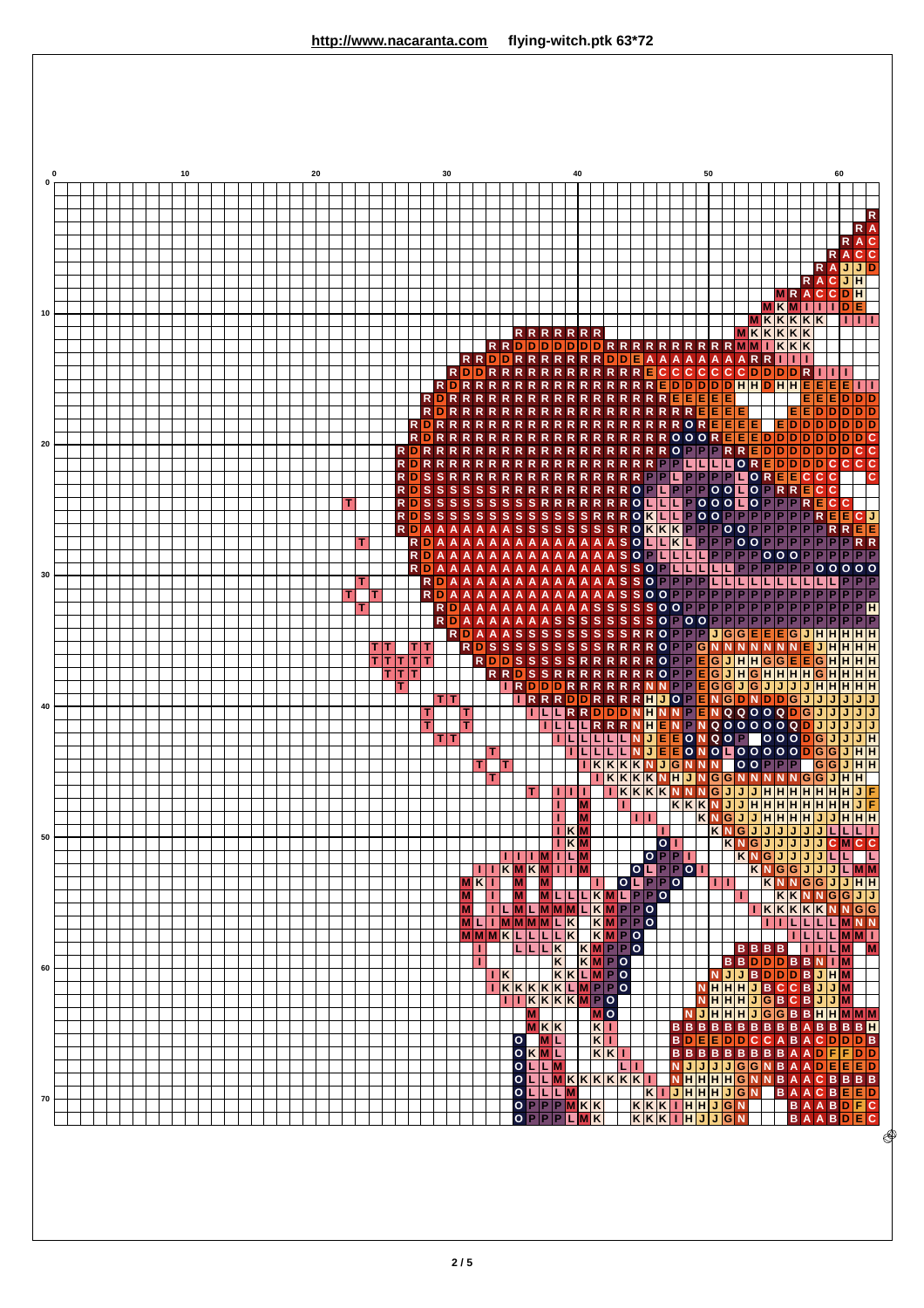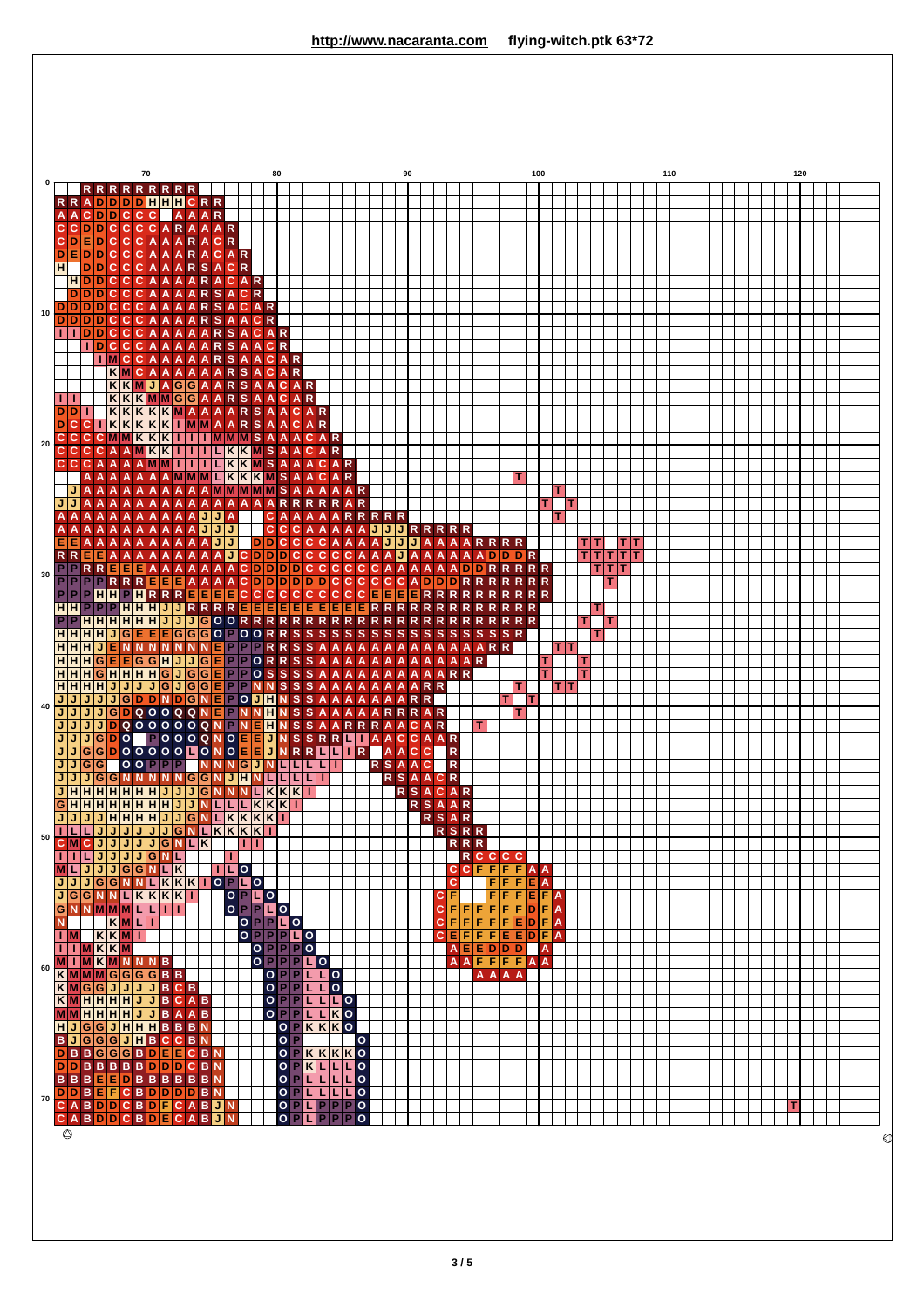

**3 / 5**

**T**

**H B D D B D C C**

 $\overline{\circ}$ 

**70**

**J J B D B D A A** **G G B B B B B B** **G G G B E E D D**

**J G G B E F D D** **H J G B D C C C**

**H H B B B B B B** **H B D D B D D D** **B C E D B D F E** **B C E D B D C C**

**B B C**  $\overline{\phantom{a}}$ **B D A A**

**N N B B B B B B**

**N N N N J J**

**N N**

**O O O O O P L L O P O O**

**P P P P**

**K K K**

**K K L** **K K L L P P**

**O K L L**

**O O O O O O O**

**L L L L L**

**P P P P**

**P P L**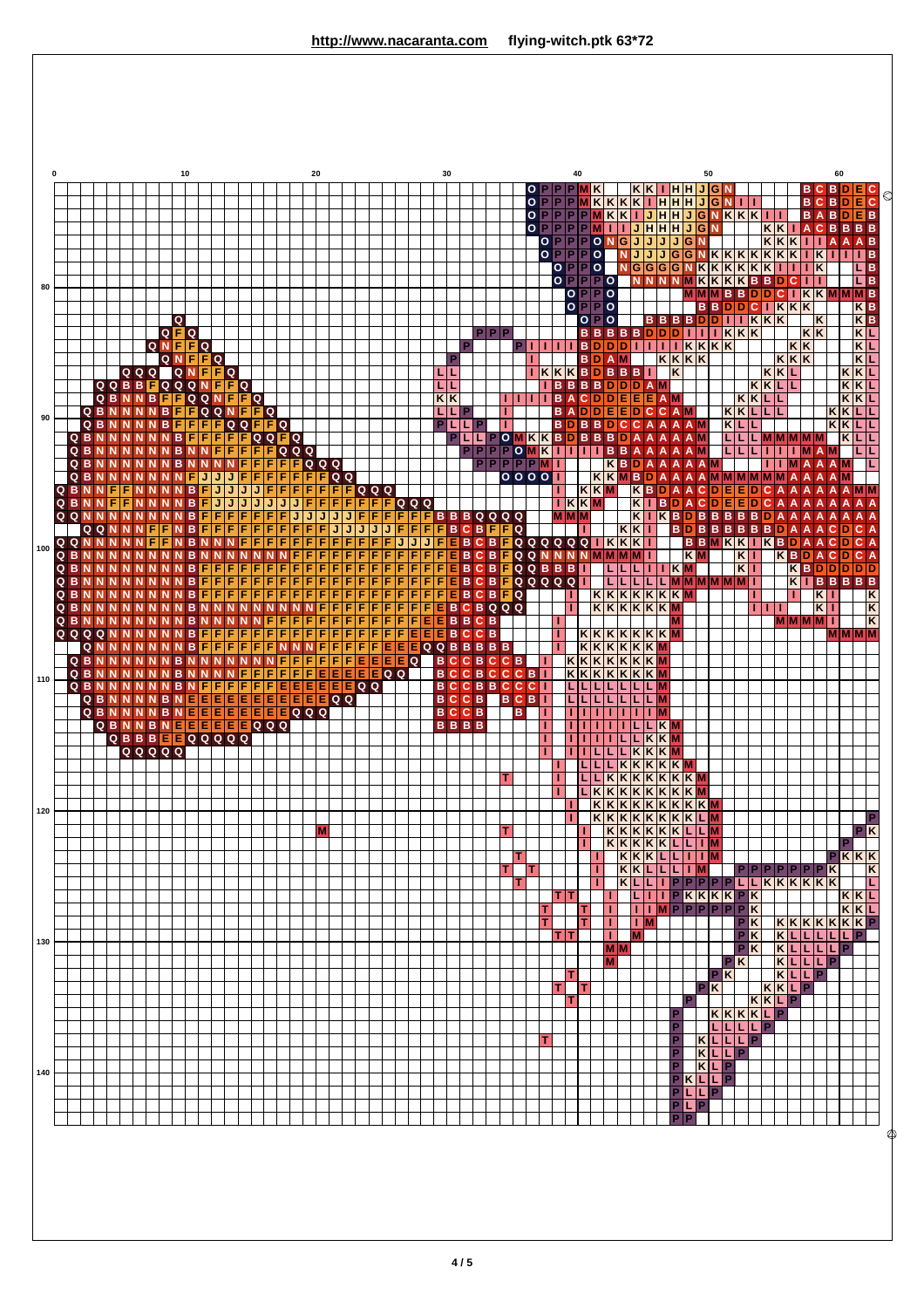